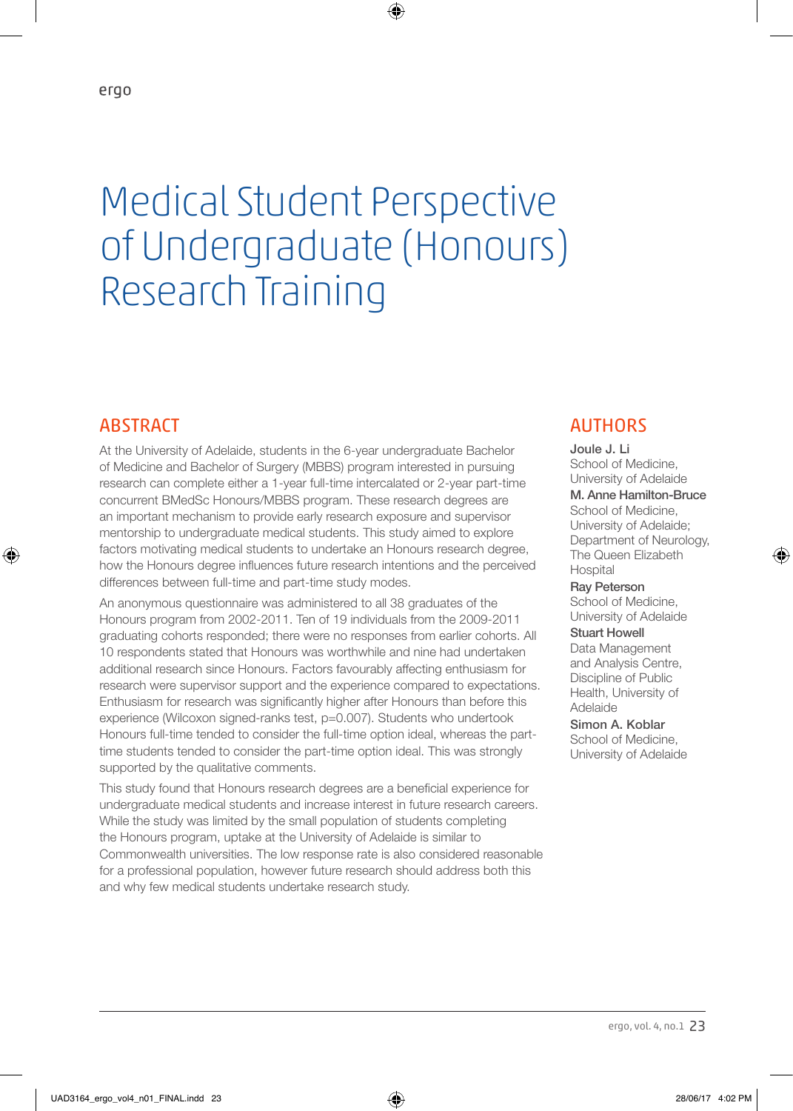# Medical Student Perspective of Undergraduate (Honours) Research Training

⊕

#### **ABSTRACT**

⊕

At the University of Adelaide, students in the 6-year undergraduate Bachelor of Medicine and Bachelor of Surgery (MBBS) program interested in pursuing research can complete either a 1-year full-time intercalated or 2-year part-time concurrent BMedSc Honours/MBBS program. These research degrees are an important mechanism to provide early research exposure and supervisor mentorship to undergraduate medical students. This study aimed to explore factors motivating medical students to undertake an Honours research degree, how the Honours degree influences future research intentions and the perceived differences between full-time and part-time study modes.

An anonymous questionnaire was administered to all 38 graduates of the Honours program from 2002-2011. Ten of 19 individuals from the 2009-2011 graduating cohorts responded; there were no responses from earlier cohorts. All 10 respondents stated that Honours was worthwhile and nine had undertaken additional research since Honours. Factors favourably affecting enthusiasm for research were supervisor support and the experience compared to expectations. Enthusiasm for research was significantly higher after Honours than before this experience (Wilcoxon signed-ranks test, p=0.007). Students who undertook Honours full-time tended to consider the full-time option ideal, whereas the parttime students tended to consider the part-time option ideal. This was strongly supported by the qualitative comments.

This study found that Honours research degrees are a beneficial experience for undergraduate medical students and increase interest in future research careers. While the study was limited by the small population of students completing the Honours program, uptake at the University of Adelaide is similar to Commonwealth universities. The low response rate is also considered reasonable for a professional population, however future research should address both this and why few medical students undertake research study.

# **AUTHORS**

Joule J. Li School of Medicine, University of Adelaide M. Anne Hamilton-Bruce School of Medicine, University of Adelaide; Department of Neurology, The Queen Elizabeth **Hospital** 

♠

Ray Peterson School of Medicine, University of Adelaide

Stuart Howell Data Management and Analysis Centre, Discipline of Public Health, University of Adelaide

Simon A. Koblar School of Medicine, University of Adelaide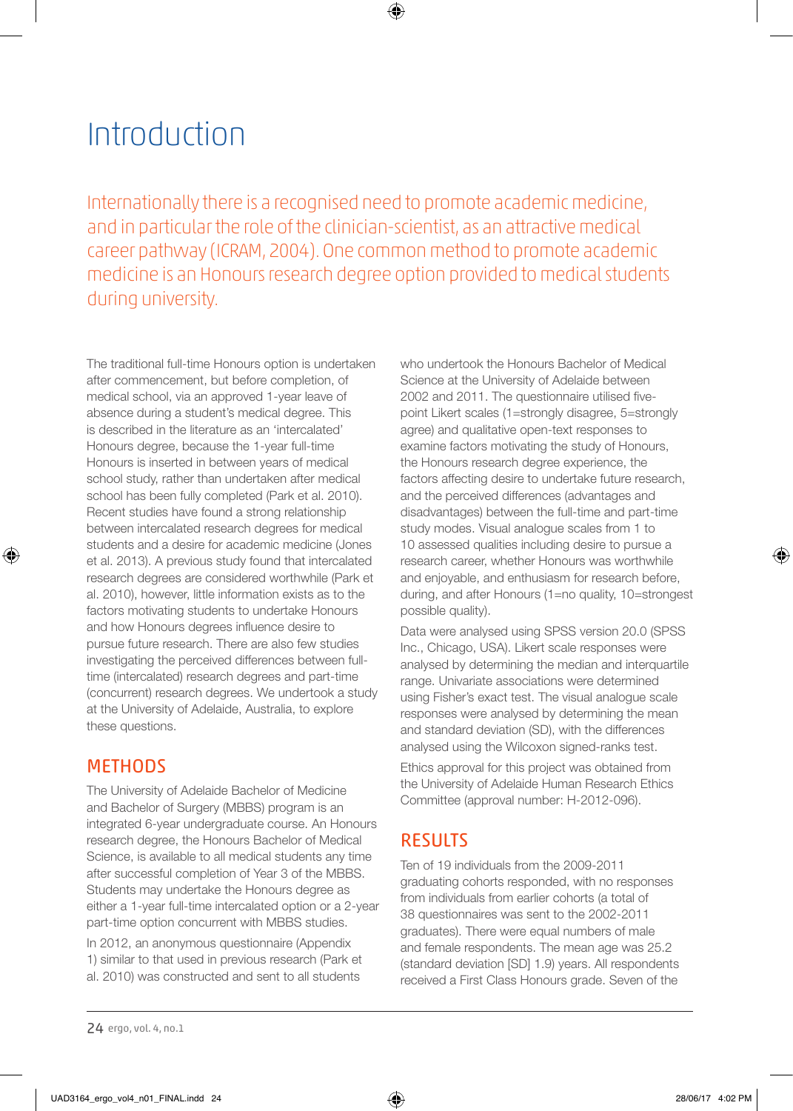# Introduction

Internationally there is a recognised need to promote academic medicine, and in particular the role of the clinician-scientist, as an attractive medical career pathway (ICRAM, 2004). One common method to promote academic medicine is an Honours research degree option provided to medical students during university.

⊕

The traditional full-time Honours option is undertaken after commencement, but before completion, of medical school, via an approved 1-year leave of absence during a student's medical degree. This is described in the literature as an 'intercalated' Honours degree, because the 1-year full-time Honours is inserted in between years of medical school study, rather than undertaken after medical school has been fully completed (Park et al. 2010). Recent studies have found a strong relationship between intercalated research degrees for medical students and a desire for academic medicine (Jones et al. 2013). A previous study found that intercalated research degrees are considered worthwhile (Park et al. 2010), however, little information exists as to the factors motivating students to undertake Honours and how Honours degrees influence desire to pursue future research. There are also few studies investigating the perceived differences between fulltime (intercalated) research degrees and part-time (concurrent) research degrees. We undertook a study at the University of Adelaide, Australia, to explore these questions.

# **METHODS**

⊕

The University of Adelaide Bachelor of Medicine and Bachelor of Surgery (MBBS) program is an integrated 6-year undergraduate course. An Honours research degree, the Honours Bachelor of Medical Science, is available to all medical students any time after successful completion of Year 3 of the MBBS. Students may undertake the Honours degree as either a 1-year full-time intercalated option or a 2-year part-time option concurrent with MBBS studies.

In 2012, an anonymous questionnaire (Appendix 1) similar to that used in previous research (Park et al. 2010) was constructed and sent to all students Data were analysed using SPSS version 20.0 (SPSS Inc., Chicago, USA). Likert scale responses were analysed by determining the median and interquartile range. Univariate associations were determined using Fisher's exact test. The visual analogue scale responses were analysed by determining the mean and standard deviation (SD), with the differences analysed using the Wilcoxon signed-ranks test.

Ethics approval for this project was obtained from the University of Adelaide Human Research Ethics Committee (approval number: H-2012-096).

# RESULTS

Ten of 19 individuals from the 2009-2011 graduating cohorts responded, with no responses from individuals from earlier cohorts (a total of 38 questionnaires was sent to the 2002-2011 graduates). There were equal numbers of male and female respondents. The mean age was 25.2 (standard deviation [SD] 1.9) years. All respondents received a First Class Honours grade. Seven of the

♠

who undertook the Honours Bachelor of Medical Science at the University of Adelaide between 2002 and 2011. The questionnaire utilised fivepoint Likert scales (1=strongly disagree, 5=strongly agree) and qualitative open-text responses to examine factors motivating the study of Honours, the Honours research degree experience, the factors affecting desire to undertake future research, and the perceived differences (advantages and disadvantages) between the full-time and part-time study modes. Visual analogue scales from 1 to 10 assessed qualities including desire to pursue a research career, whether Honours was worthwhile and enjoyable, and enthusiasm for research before, during, and after Honours (1=no quality, 10=strongest possible quality).

<sup>24</sup> ergo, vol. 4, no.1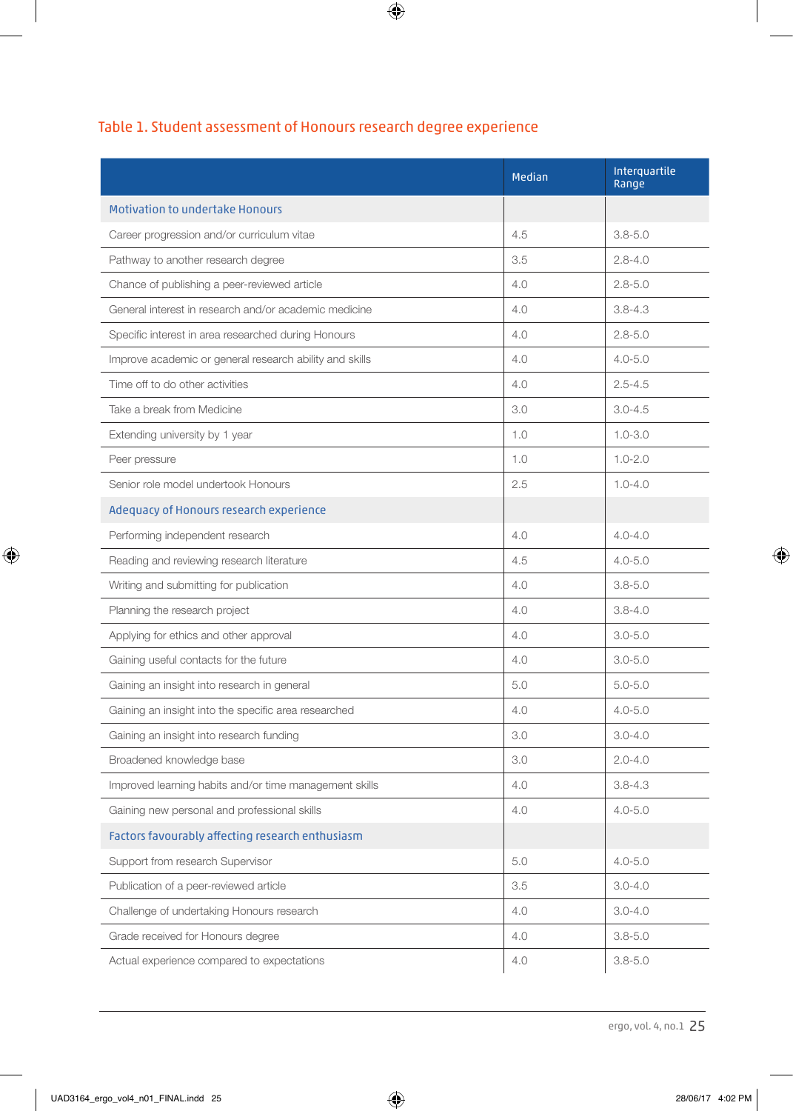|                                                         | Median | Interquartile<br>Range |
|---------------------------------------------------------|--------|------------------------|
| <b>Motivation to undertake Honours</b>                  |        |                        |
| Career progression and/or curriculum vitae              | 4.5    | $3.8 - 5.0$            |
| Pathway to another research degree                      | 3.5    | $2.8 - 4.0$            |
| Chance of publishing a peer-reviewed article            | 4.0    | $2.8 - 5.0$            |
| General interest in research and/or academic medicine   | 4.0    | $3.8 - 4.3$            |
| Specific interest in area researched during Honours     | 4.0    | $2.8 - 5.0$            |
| Improve academic or general research ability and skills | 4.0    | $4.0 - 5.0$            |
| Time off to do other activities                         | 4.0    | $2.5 - 4.5$            |
| Take a break from Medicine                              | 3.0    | $3.0 - 4.5$            |
| Extending university by 1 year                          | 1.0    | $1.0 - 3.0$            |
| Peer pressure                                           | 1.0    | $1.0 - 2.0$            |
| Senior role model undertook Honours                     | 2.5    | $1.0 - 4.0$            |
| Adequacy of Honours research experience                 |        |                        |
| Performing independent research                         | 4.0    | $4.0 - 4.0$            |
| Reading and reviewing research literature               | 4.5    | $4.0 - 5.0$            |
| Writing and submitting for publication                  | 4.0    | $3.8 - 5.0$            |
| Planning the research project                           | 4.0    | $3.8 - 4.0$            |
| Applying for ethics and other approval                  | 4.0    | $3.0 - 5.0$            |
| Gaining useful contacts for the future                  | 4.0    | $3.0 - 5.0$            |
| Gaining an insight into research in general             | 5.0    | $5.0 - 5.0$            |
| Gaining an insight into the specific area researched    | 4.0    | $4.0 - 5.0$            |
| Gaining an insight into research funding                | 3.0    | $3.0 - 4.0$            |
| Broadened knowledge base                                | 3.0    | $2.0 - 4.0$            |
| Improved learning habits and/or time management skills  | 4.0    | $3.8 - 4.3$            |
| Gaining new personal and professional skills            | 4.0    | $4.0 - 5.0$            |
| Factors favourably affecting research enthusiasm        |        |                        |
| Support from research Supervisor                        | 5.0    | $4.0 - 5.0$            |
| Publication of a peer-reviewed article                  | 3.5    | $3.0 - 4.0$            |
| Challenge of undertaking Honours research               | 4.0    | $3.0 - 4.0$            |
| Grade received for Honours degree                       | 4.0    | $3.8 - 5.0$            |
| Actual experience compared to expectations              | 4.0    | $3.8 - 5.0$            |

# Table 1. Student assessment of Honours research degree experience

 $\bigoplus$ 

 $\bigoplus$ 

 $\bigoplus$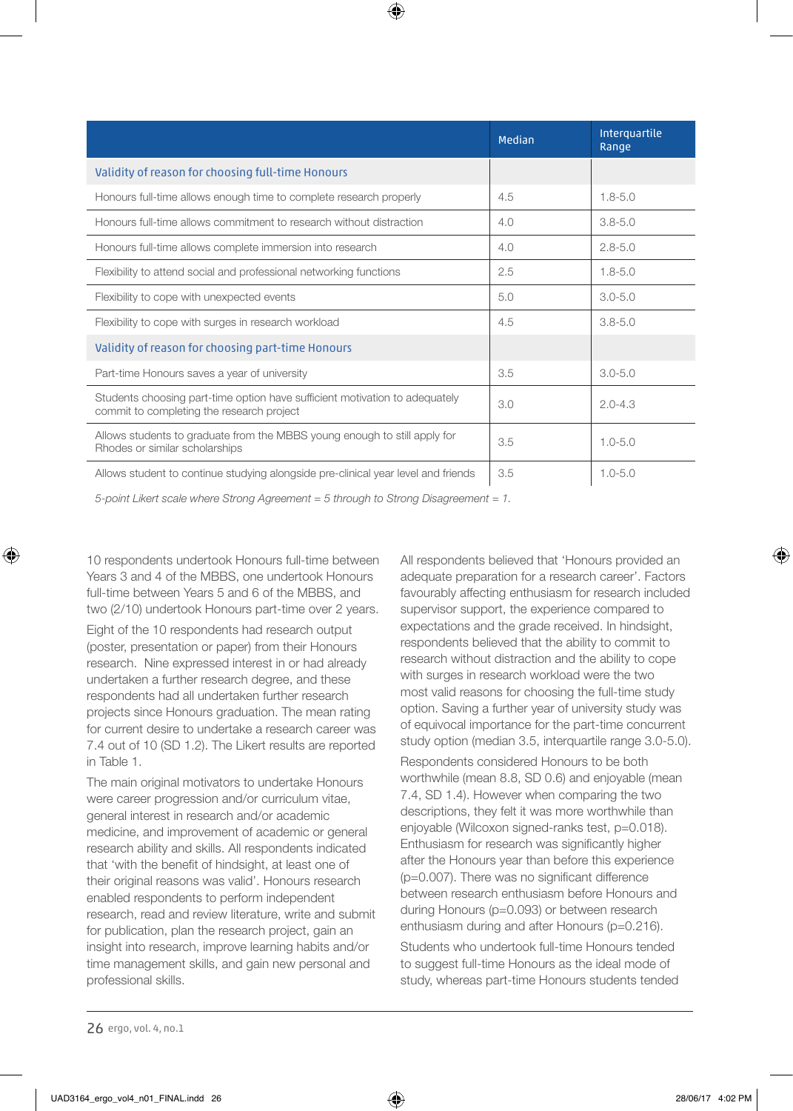|                                                                                                                          | Median | Interguartile<br>Range |
|--------------------------------------------------------------------------------------------------------------------------|--------|------------------------|
| Validity of reason for choosing full-time Honours                                                                        |        |                        |
| Honours full-time allows enough time to complete research properly                                                       | 4.5    | $1.8 - 5.0$            |
| Honours full-time allows commitment to research without distraction                                                      | 4.0    | $3.8 - 5.0$            |
| Honours full-time allows complete immersion into research                                                                | 4.0    | $2.8 - 5.0$            |
| Flexibility to attend social and professional networking functions                                                       | 2.5    | $1.8 - 5.0$            |
| Flexibility to cope with unexpected events                                                                               | 5.0    | $3.0 - 5.0$            |
| Flexibility to cope with surges in research workload                                                                     | 4.5    | $3.8 - 5.0$            |
| Validity of reason for choosing part-time Honours                                                                        |        |                        |
| Part-time Honours saves a year of university                                                                             | 3.5    | $3.0 - 5.0$            |
| Students choosing part-time option have sufficient motivation to adequately<br>commit to completing the research project | 3.0    | $2.0 - 4.3$            |
| Allows students to graduate from the MBBS young enough to still apply for<br>Rhodes or similar scholarships              | 3.5    | $1.0 - 5.0$            |
| Allows student to continue studying alongside pre-clinical year level and friends                                        | 3.5    | $1.0 - 5.0$            |

⊕

*5-point Likert scale where Strong Agreement = 5 through to Strong Disagreement = 1.*

10 respondents undertook Honours full-time between Years 3 and 4 of the MBBS, one undertook Honours full-time between Years 5 and 6 of the MBBS, and two (2/10) undertook Honours part-time over 2 years.

Eight of the 10 respondents had research output (poster, presentation or paper) from their Honours research. Nine expressed interest in or had already undertaken a further research degree, and these respondents had all undertaken further research projects since Honours graduation. The mean rating for current desire to undertake a research career was 7.4 out of 10 (SD 1.2). The Likert results are reported in Table 1.

The main original motivators to undertake Honours were career progression and/or curriculum vitae, general interest in research and/or academic medicine, and improvement of academic or general research ability and skills. All respondents indicated that 'with the benefit of hindsight, at least one of their original reasons was valid'. Honours research enabled respondents to perform independent research, read and review literature, write and submit for publication, plan the research project, gain an insight into research, improve learning habits and/or time management skills, and gain new personal and professional skills.

All respondents believed that 'Honours provided an adequate preparation for a research career'. Factors favourably affecting enthusiasm for research included supervisor support, the experience compared to expectations and the grade received. In hindsight, respondents believed that the ability to commit to research without distraction and the ability to cope with surges in research workload were the two most valid reasons for choosing the full-time study option. Saving a further year of university study was of equivocal importance for the part-time concurrent study option (median 3.5, interquartile range 3.0-5.0).

Respondents considered Honours to be both worthwhile (mean 8.8, SD 0.6) and enjoyable (mean 7.4, SD 1.4). However when comparing the two descriptions, they felt it was more worthwhile than enjoyable (Wilcoxon signed-ranks test, p=0.018). Enthusiasm for research was significantly higher after the Honours year than before this experience (p=0.007). There was no significant difference between research enthusiasm before Honours and during Honours (p=0.093) or between research enthusiasm during and after Honours (p=0.216).

Students who undertook full-time Honours tended to suggest full-time Honours as the ideal mode of study, whereas part-time Honours students tended

⊕

⊕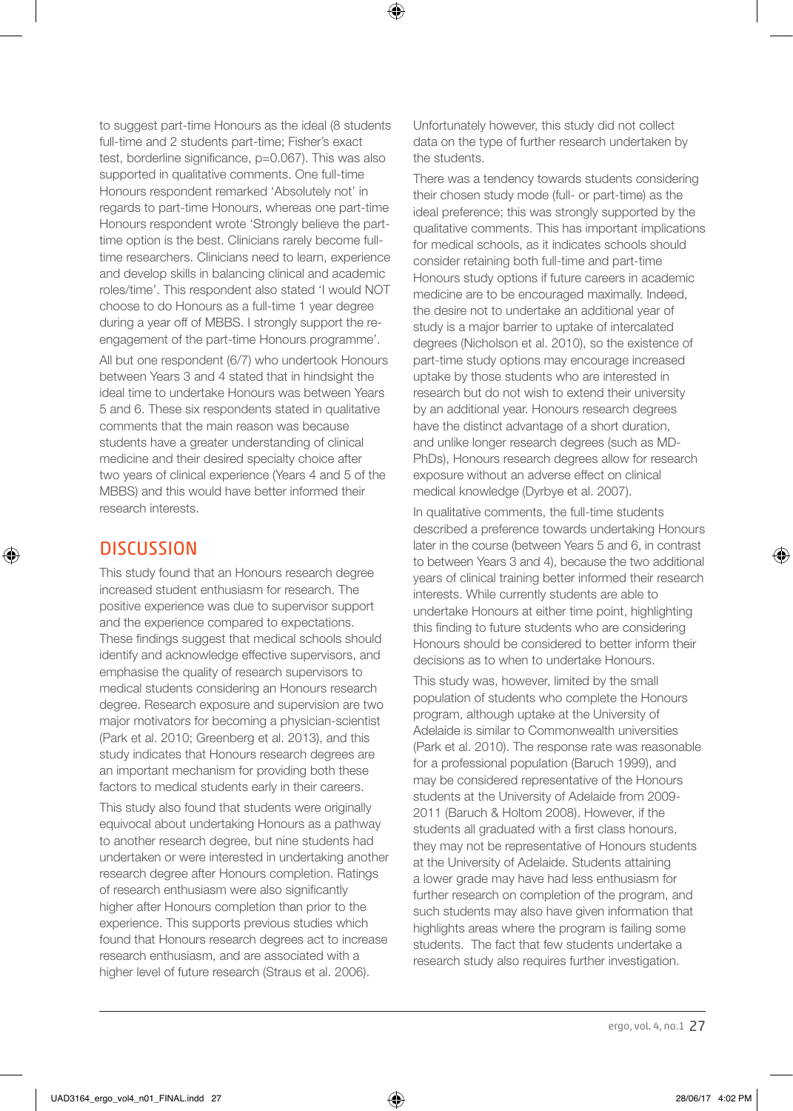to suggest part-time Honours as the ideal (8 students full-time and 2 students part-time; Fisher's exact test, borderline significance, p=0.067). This was also supported in qualitative comments. One full-time Honours respondent remarked 'Absolutely not' in regards to part-time Honours, whereas one part-time Honours respondent wrote 'Strongly believe the parttime option is the best. Clinicians rarely become fulltime researchers. Clinicians need to learn, experience and develop skills in balancing clinical and academic roles/time'. This respondent also stated 'I would NOT choose to do Honours as a full-time 1 year degree during a year off of MBBS. I strongly support the reengagement of the part-time Honours programme'.

All but one respondent (6/7) who undertook Honours between Years 3 and 4 stated that in hindsight the ideal time to undertake Honours was between Years 5 and 6. These six respondents stated in qualitative comments that the main reason was because students have a greater understanding of clinical medicine and their desired specialty choice after two years of clinical experience (Years 4 and 5 of the MBBS) and this would have better informed their research interests.

#### **DISCUSSION**

⊕

This study found that an Honours research degree increased student enthusiasm for research. The positive experience was due to supervisor support and the experience compared to expectations. These findings suggest that medical schools should identify and acknowledge effective supervisors, and emphasise the quality of research supervisors to medical students considering an Honours research degree. Research exposure and supervision are two major motivators for becoming a physician-scientist (Park et al. 2010; Greenberg et al. 2013), and this study indicates that Honours research degrees are an important mechanism for providing both these factors to medical students early in their careers.

This study also found that students were originally equivocal about undertaking Honours as a pathway to another research degree, but nine students had undertaken or were interested in undertaking another research degree after Honours completion. Ratings of research enthusiasm were also significantly higher after Honours completion than prior to the experience. This supports previous studies which found that Honours research degrees act to increase research enthusiasm, and are associated with a higher level of future research (Straus et al. 2006).

Unfortunately however, this study did not collect data on the type of further research undertaken by the students.

⊕

There was a tendency towards students considering their chosen study mode (full- or part-time) as the ideal preference; this was strongly supported by the qualitative comments. This has important implications for medical schools, as it indicates schools should consider retaining both full-time and part-time Honours study options if future careers in academic medicine are to be encouraged maximally. Indeed, the desire not to undertake an additional year of study is a major barrier to uptake of intercalated degrees (Nicholson et al. 2010), so the existence of part-time study options may encourage increased uptake by those students who are interested in research but do not wish to extend their university by an additional year. Honours research degrees have the distinct advantage of a short duration, and unlike longer research degrees (such as MD-PhDs), Honours research degrees allow for research exposure without an adverse effect on clinical medical knowledge (Dyrbye et al. 2007).

In qualitative comments, the full-time students described a preference towards undertaking Honours later in the course (between Years 5 and 6, in contrast to between Years 3 and 4), because the two additional years of clinical training better informed their research interests. While currently students are able to undertake Honours at either time point, highlighting this finding to future students who are considering Honours should be considered to better inform their decisions as to when to undertake Honours.

This study was, however, limited by the small population of students who complete the Honours program, although uptake at the University of Adelaide is similar to Commonwealth universities (Park et al. 2010). The response rate was reasonable for a professional population (Baruch 1999), and may be considered representative of the Honours students at the University of Adelaide from 2009- 2011 (Baruch & Holtom 2008). However, if the students all graduated with a first class honours, they may not be representative of Honours students at the University of Adelaide. Students attaining a lower grade may have had less enthusiasm for further research on completion of the program, and such students may also have given information that highlights areas where the program is failing some students. The fact that few students undertake a research study also requires further investigation.

UAD3164\_ergo\_vol4\_n01\_FINAL.indd 27 28/06/17 4:02 PM

⊕